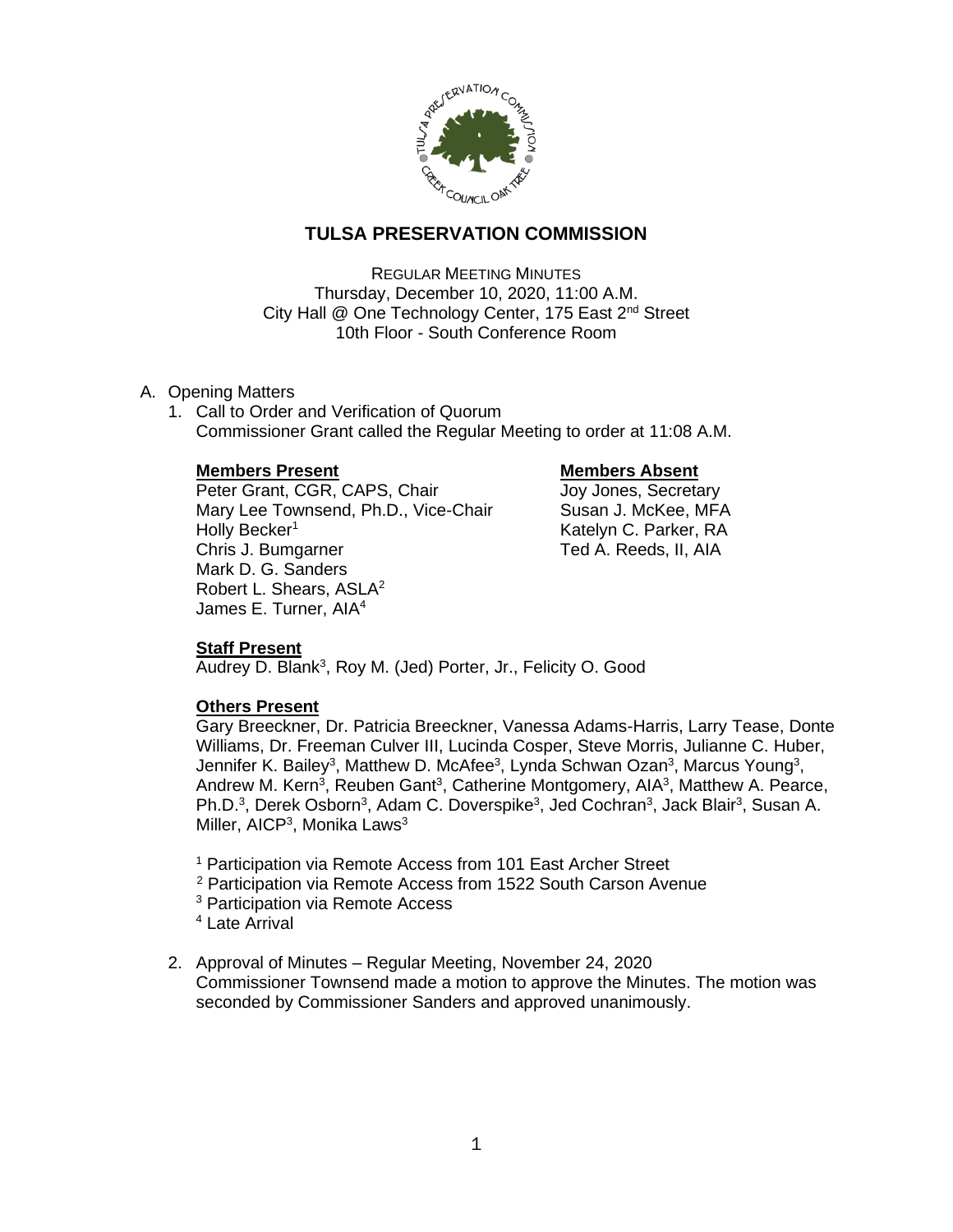

# **TULSA PRESERVATION COMMISSION**

REGULAR MEETING MINUTES Thursday, December 10, 2020, 11:00 A.M. City Hall @ One Technology Center, 175 East 2<sup>nd</sup> Street 10th Floor - South Conference Room

- A. Opening Matters
	- 1. Call to Order and Verification of Quorum Commissioner Grant called the Regular Meeting to order at 11:08 A.M.

# **Members Present Constraining Members Absent**

Peter Grant, CGR, CAPS, Chair Joy Jones, Secretary Mary Lee Townsend, Ph.D., Vice-Chair Susan J. McKee, MFA Holly Becker<sup>1</sup> Katelyn C. Parker, RA Chris J. Bumgarner Ted A. Reeds, II, AIA Mark D. G. Sanders Robert L. Shears, ASLA<sup>2</sup> James E. Turner, AIA<sup>4</sup>

# **Staff Present**

Audrey D. Blank<sup>3</sup>, Roy M. (Jed) Porter, Jr., Felicity O. Good

# **Others Present**

Gary Breeckner, Dr. Patricia Breeckner, Vanessa Adams-Harris, Larry Tease, Donte Williams, Dr. Freeman Culver III, Lucinda Cosper, Steve Morris, Julianne C. Huber, Jennifer K. Bailey<sup>3</sup>, Matthew D. McAfee<sup>3</sup>, Lynda Schwan Ozan<sup>3</sup>, Marcus Young<sup>3</sup>, Andrew M. Kern<sup>3</sup>, Reuben Gant<sup>3</sup>, Catherine Montgomery, AIA<sup>3</sup>, Matthew A. Pearce, Ph.D.<sup>3</sup>, Derek Osborn<sup>3</sup>, Adam C. Doverspike<sup>3</sup>, Jed Cochran<sup>3</sup>, Jack Blair<sup>3</sup>, Susan A. Miller, AICP<sup>3</sup>, Monika Laws<sup>3</sup>

- <sup>1</sup> Participation via Remote Access from 101 East Archer Street
- <sup>2</sup> Participation via Remote Access from 1522 South Carson Avenue
- <sup>3</sup> Participation via Remote Access
- <sup>4</sup> Late Arrival
- 2. Approval of Minutes Regular Meeting, November 24, 2020 Commissioner Townsend made a motion to approve the Minutes. The motion was seconded by Commissioner Sanders and approved unanimously.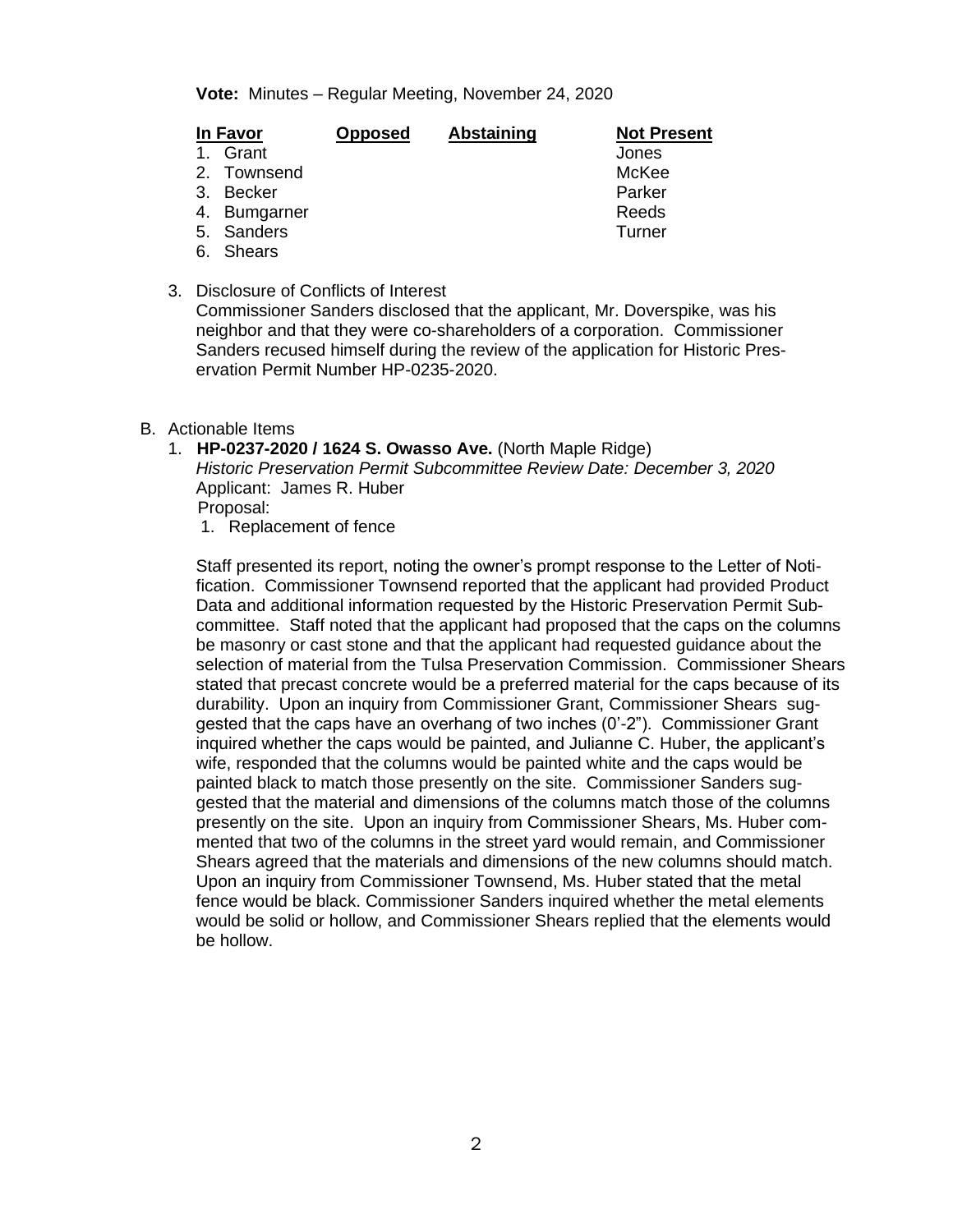**Vote:** Minutes – Regular Meeting, November 24, 2020

| In Favor |               | <b>Opposed</b> | Abstaining | <b>Not Present</b> |
|----------|---------------|----------------|------------|--------------------|
| $1_{-}$  | Grant         |                |            | Jones              |
|          | 2. Townsend   |                |            | McKee              |
|          | 3. Becker     |                |            | Parker             |
|          | 4. Bumgarner  |                |            | Reeds              |
|          | 5. Sanders    |                |            | Turner             |
| 6.       | <b>Shears</b> |                |            |                    |

3. Disclosure of Conflicts of Interest

Commissioner Sanders disclosed that the applicant, Mr. Doverspike, was his neighbor and that they were co-shareholders of a corporation. Commissioner Sanders recused himself during the review of the application for Historic Preservation Permit Number HP-0235-2020.

- B. Actionable Items
	- 1. **HP-0237-2020 / 1624 S. Owasso Ave.** (North Maple Ridge)

*Historic Preservation Permit Subcommittee Review Date: December 3, 2020* Applicant: James R. Huber Proposal:

1. Replacement of fence

Staff presented its report, noting the owner's prompt response to the Letter of Notification. Commissioner Townsend reported that the applicant had provided Product Data and additional information requested by the Historic Preservation Permit Subcommittee. Staff noted that the applicant had proposed that the caps on the columns be masonry or cast stone and that the applicant had requested guidance about the selection of material from the Tulsa Preservation Commission. Commissioner Shears stated that precast concrete would be a preferred material for the caps because of its durability. Upon an inquiry from Commissioner Grant, Commissioner Shears suggested that the caps have an overhang of two inches (0'-2"). Commissioner Grant inquired whether the caps would be painted, and Julianne C. Huber, the applicant's wife, responded that the columns would be painted white and the caps would be painted black to match those presently on the site. Commissioner Sanders suggested that the material and dimensions of the columns match those of the columns presently on the site. Upon an inquiry from Commissioner Shears, Ms. Huber commented that two of the columns in the street yard would remain, and Commissioner Shears agreed that the materials and dimensions of the new columns should match. Upon an inquiry from Commissioner Townsend, Ms. Huber stated that the metal fence would be black. Commissioner Sanders inquired whether the metal elements would be solid or hollow, and Commissioner Shears replied that the elements would be hollow.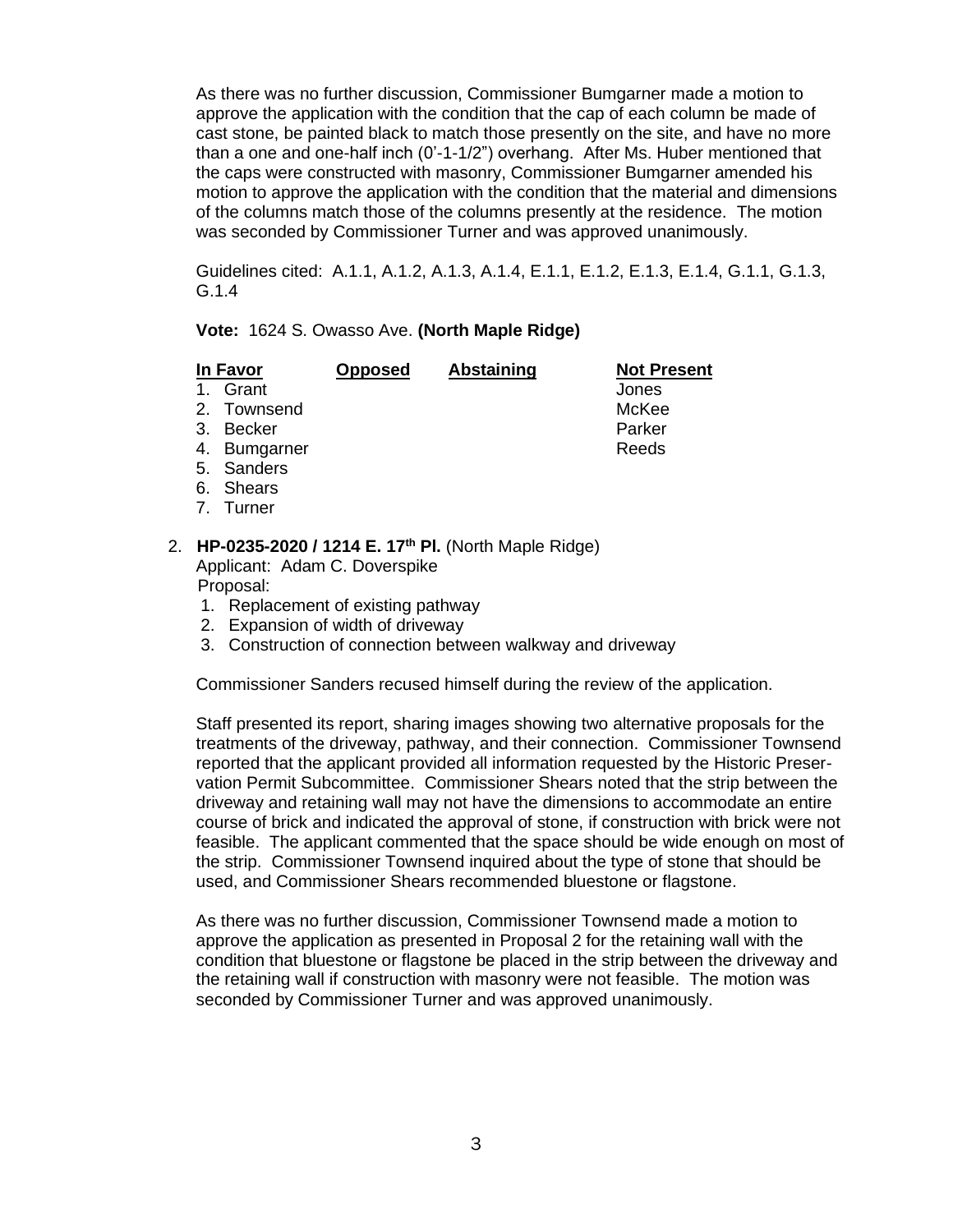As there was no further discussion, Commissioner Bumgarner made a motion to approve the application with the condition that the cap of each column be made of cast stone, be painted black to match those presently on the site, and have no more than a one and one-half inch (0'-1-1/2") overhang. After Ms. Huber mentioned that the caps were constructed with masonry, Commissioner Bumgarner amended his motion to approve the application with the condition that the material and dimensions of the columns match those of the columns presently at the residence. The motion was seconded by Commissioner Turner and was approved unanimously.

Guidelines cited: A.1.1, A.1.2, A.1.3, A.1.4, E.1.1, E.1.2, E.1.3, E.1.4, G.1.1, G.1.3, G.1.4

## **Vote:** 1624 S. Owasso Ave. **(North Maple Ridge)**

| <b>In Favor</b> |              | <b>Opposed</b> | <b>Abstaining</b> | <b>Not Present</b> |
|-----------------|--------------|----------------|-------------------|--------------------|
|                 | 1. Grant     |                |                   | Jones              |
|                 | 2. Townsend  |                |                   | McKee              |
|                 | 3. Becker    |                |                   | Parker             |
|                 | 4. Bumgarner |                |                   | Reeds              |
|                 | 5. Sanders   |                |                   |                    |
|                 | 6. Shears    |                |                   |                    |
|                 |              |                |                   |                    |

7. Turner

# 2. **HP-0235-2020 / 1214 E. 17th Pl.** (North Maple Ridge) Applicant: Adam C. Doverspike

Proposal:

- 1. Replacement of existing pathway
- 2. Expansion of width of driveway
- 3. Construction of connection between walkway and driveway

Commissioner Sanders recused himself during the review of the application.

Staff presented its report, sharing images showing two alternative proposals for the treatments of the driveway, pathway, and their connection. Commissioner Townsend reported that the applicant provided all information requested by the Historic Preservation Permit Subcommittee. Commissioner Shears noted that the strip between the driveway and retaining wall may not have the dimensions to accommodate an entire course of brick and indicated the approval of stone, if construction with brick were not feasible. The applicant commented that the space should be wide enough on most of the strip. Commissioner Townsend inquired about the type of stone that should be used, and Commissioner Shears recommended bluestone or flagstone.

As there was no further discussion, Commissioner Townsend made a motion to approve the application as presented in Proposal 2 for the retaining wall with the condition that bluestone or flagstone be placed in the strip between the driveway and the retaining wall if construction with masonry were not feasible. The motion was seconded by Commissioner Turner and was approved unanimously.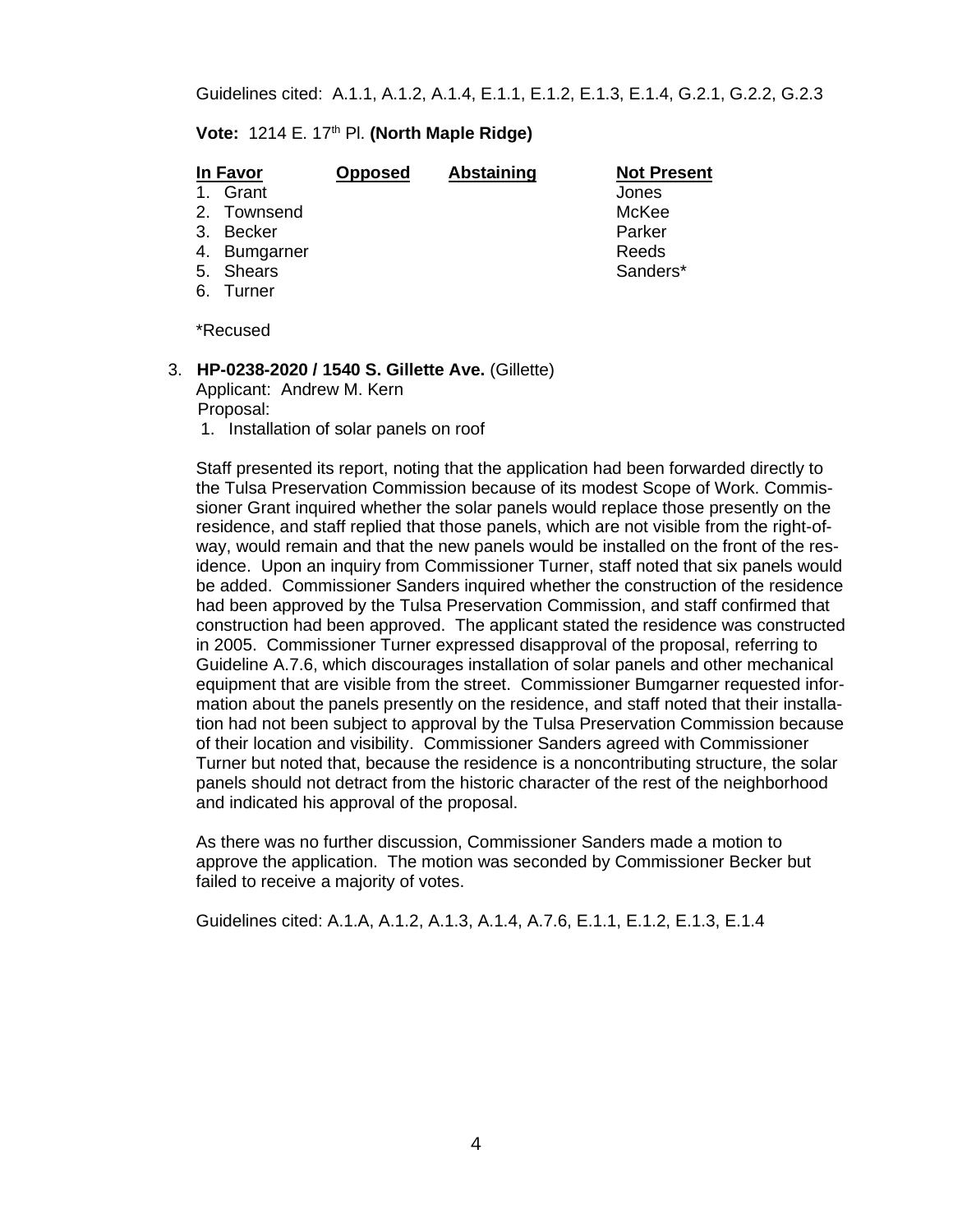# **Vote: 1214 E. 17<sup>th</sup> Pl. (North Maple Ridge)**

| <b>In Favor</b> |              | <b>Opposed</b> | Abstaining | <b>Not Present</b> |
|-----------------|--------------|----------------|------------|--------------------|
| $1 \quad$       | Grant        |                |            | Jones              |
|                 | 2. Townsend  |                |            | McKee              |
|                 | 3. Becker    |                |            | Parker             |
|                 | 4. Bumgarner |                |            | Reeds              |
|                 | 5. Shears    |                |            | Sanders*           |
| 6.              | Turner       |                |            |                    |

\*Recused

# 3. **HP-0238-2020 / 1540 S. Gillette Ave.** (Gillette)

Applicant: Andrew M. Kern Proposal:

1. Installation of solar panels on roof

Staff presented its report, noting that the application had been forwarded directly to the Tulsa Preservation Commission because of its modest Scope of Work. Commissioner Grant inquired whether the solar panels would replace those presently on the residence, and staff replied that those panels, which are not visible from the right-ofway, would remain and that the new panels would be installed on the front of the residence. Upon an inquiry from Commissioner Turner, staff noted that six panels would be added. Commissioner Sanders inquired whether the construction of the residence had been approved by the Tulsa Preservation Commission, and staff confirmed that construction had been approved. The applicant stated the residence was constructed in 2005. Commissioner Turner expressed disapproval of the proposal, referring to Guideline A.7.6, which discourages installation of solar panels and other mechanical equipment that are visible from the street. Commissioner Bumgarner requested information about the panels presently on the residence, and staff noted that their installation had not been subject to approval by the Tulsa Preservation Commission because of their location and visibility. Commissioner Sanders agreed with Commissioner Turner but noted that, because the residence is a noncontributing structure, the solar panels should not detract from the historic character of the rest of the neighborhood and indicated his approval of the proposal.

As there was no further discussion, Commissioner Sanders made a motion to approve the application. The motion was seconded by Commissioner Becker but failed to receive a majority of votes.

Guidelines cited: A.1.A, A.1.2, A.1.3, A.1.4, A.7.6, E.1.1, E.1.2, E.1.3, E.1.4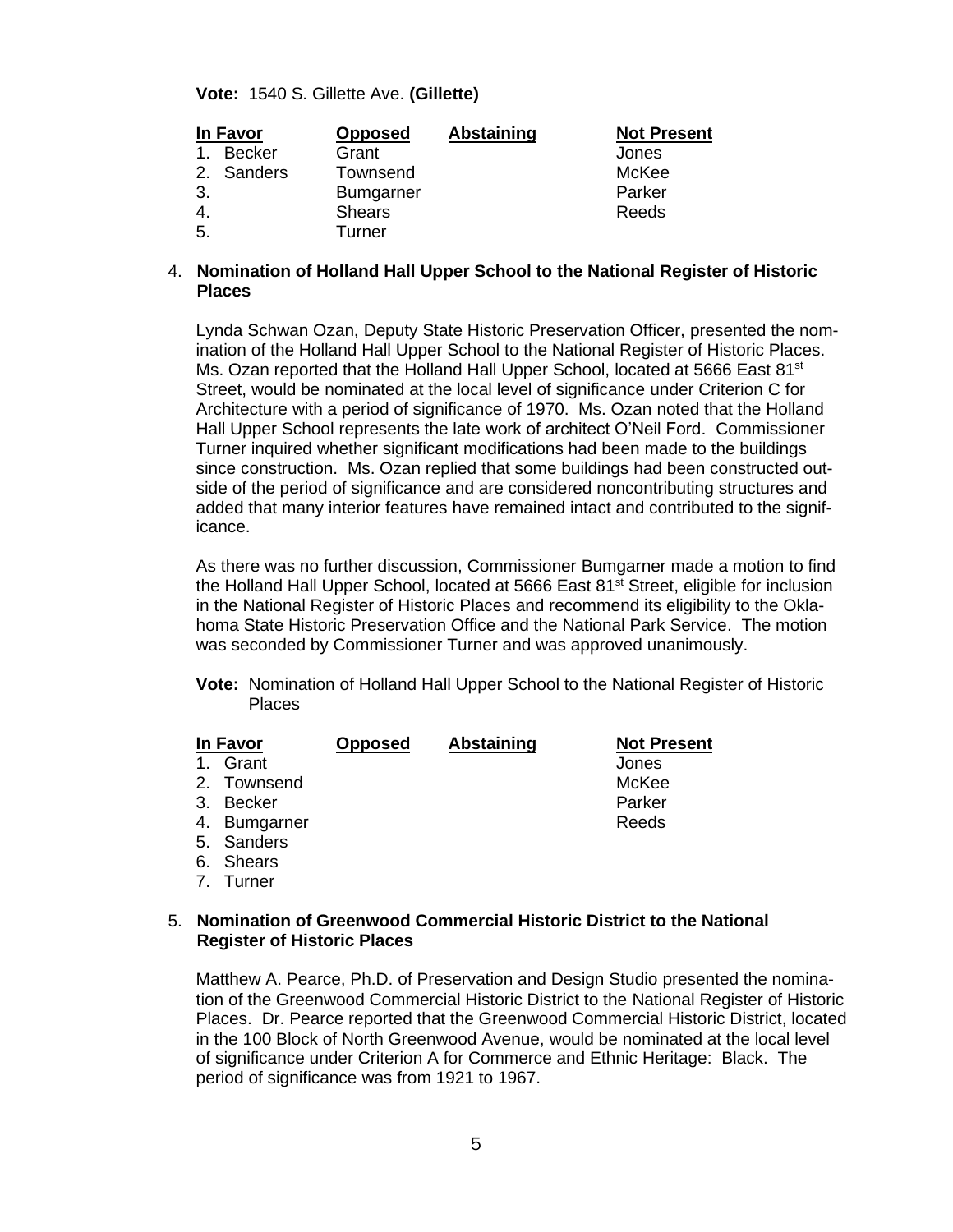**Vote:** 1540 S. Gillette Ave. **(Gillette)**

| In Favor |               | <b>Opposed</b>   | <b>Abstaining</b> | <b>Not Present</b> |
|----------|---------------|------------------|-------------------|--------------------|
| 1.       | <b>Becker</b> | Grant            |                   | Jones              |
|          | 2. Sanders    | Townsend         |                   | McKee              |
| 3.       |               | <b>Bumgarner</b> |                   | Parker             |
| -4.      |               | <b>Shears</b>    |                   | Reeds              |
| 5.       |               | Turner           |                   |                    |

## 4. **Nomination of Holland Hall Upper School to the National Register of Historic Places**

Lynda Schwan Ozan, Deputy State Historic Preservation Officer, presented the nomination of the Holland Hall Upper School to the National Register of Historic Places. Ms. Ozan reported that the Holland Hall Upper School, located at 5666 East 81 $st$ Street, would be nominated at the local level of significance under Criterion C for Architecture with a period of significance of 1970. Ms. Ozan noted that the Holland Hall Upper School represents the late work of architect O'Neil Ford. Commissioner Turner inquired whether significant modifications had been made to the buildings since construction. Ms. Ozan replied that some buildings had been constructed outside of the period of significance and are considered noncontributing structures and added that many interior features have remained intact and contributed to the significance.

As there was no further discussion, Commissioner Bumgarner made a motion to find the Holland Hall Upper School, located at 5666 East 81<sup>st</sup> Street, eligible for inclusion in the National Register of Historic Places and recommend its eligibility to the Oklahoma State Historic Preservation Office and the National Park Service. The motion was seconded by Commissioner Turner and was approved unanimously.

**Vote:** Nomination of Holland Hall Upper School to the National Register of Historic Places

| <b>In Favor</b> |                  | <b>Opposed</b> | <b>Abstaining</b> | <b>Not Present</b> |
|-----------------|------------------|----------------|-------------------|--------------------|
| $\mathbf 1$     | Grant            |                |                   | Jones              |
|                 | 2. Townsend      |                |                   | McKee              |
| 3.              | Becker           |                |                   | Parker             |
| 4.              | <b>Bumgarner</b> |                |                   | Reeds              |
|                 | 5. Sanders       |                |                   |                    |
|                 | 6. Shears        |                |                   |                    |
| 7 <sub>1</sub>  | Turner           |                |                   |                    |

## 5. **Nomination of Greenwood Commercial Historic District to the National Register of Historic Places**

Matthew A. Pearce, Ph.D. of Preservation and Design Studio presented the nomination of the Greenwood Commercial Historic District to the National Register of Historic Places. Dr. Pearce reported that the Greenwood Commercial Historic District, located in the 100 Block of North Greenwood Avenue, would be nominated at the local level of significance under Criterion A for Commerce and Ethnic Heritage: Black. The period of significance was from 1921 to 1967.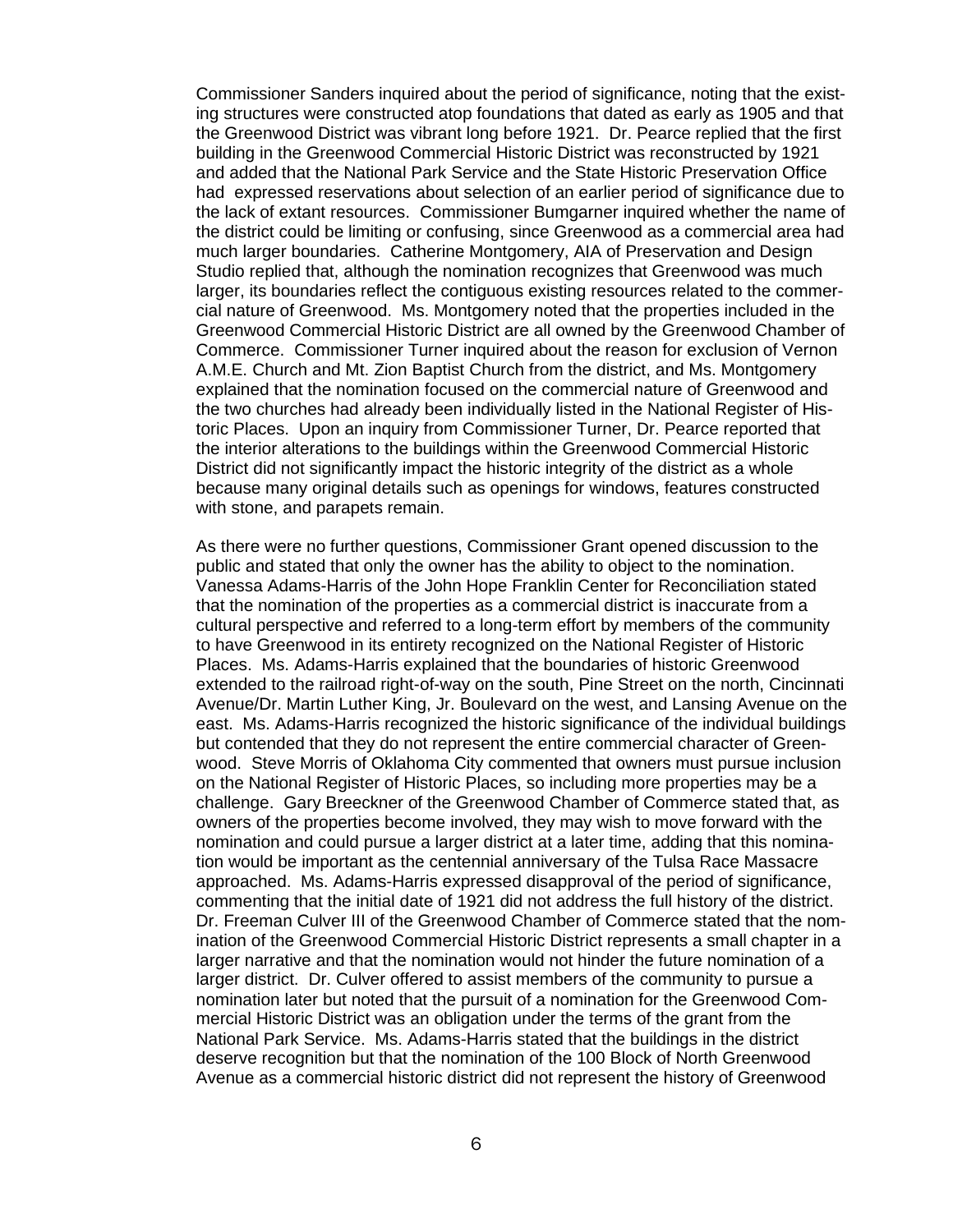Commissioner Sanders inquired about the period of significance, noting that the existing structures were constructed atop foundations that dated as early as 1905 and that the Greenwood District was vibrant long before 1921. Dr. Pearce replied that the first building in the Greenwood Commercial Historic District was reconstructed by 1921 and added that the National Park Service and the State Historic Preservation Office had expressed reservations about selection of an earlier period of significance due to the lack of extant resources. Commissioner Bumgarner inquired whether the name of the district could be limiting or confusing, since Greenwood as a commercial area had much larger boundaries. Catherine Montgomery, AIA of Preservation and Design Studio replied that, although the nomination recognizes that Greenwood was much larger, its boundaries reflect the contiguous existing resources related to the commercial nature of Greenwood. Ms. Montgomery noted that the properties included in the Greenwood Commercial Historic District are all owned by the Greenwood Chamber of Commerce. Commissioner Turner inquired about the reason for exclusion of Vernon A.M.E. Church and Mt. Zion Baptist Church from the district, and Ms. Montgomery explained that the nomination focused on the commercial nature of Greenwood and the two churches had already been individually listed in the National Register of Historic Places. Upon an inquiry from Commissioner Turner, Dr. Pearce reported that the interior alterations to the buildings within the Greenwood Commercial Historic District did not significantly impact the historic integrity of the district as a whole because many original details such as openings for windows, features constructed with stone, and parapets remain.

As there were no further questions, Commissioner Grant opened discussion to the public and stated that only the owner has the ability to object to the nomination. Vanessa Adams-Harris of the John Hope Franklin Center for Reconciliation stated that the nomination of the properties as a commercial district is inaccurate from a cultural perspective and referred to a long-term effort by members of the community to have Greenwood in its entirety recognized on the National Register of Historic Places. Ms. Adams-Harris explained that the boundaries of historic Greenwood extended to the railroad right-of-way on the south, Pine Street on the north, Cincinnati Avenue/Dr. Martin Luther King, Jr. Boulevard on the west, and Lansing Avenue on the east. Ms. Adams-Harris recognized the historic significance of the individual buildings but contended that they do not represent the entire commercial character of Greenwood. Steve Morris of Oklahoma City commented that owners must pursue inclusion on the National Register of Historic Places, so including more properties may be a challenge. Gary Breeckner of the Greenwood Chamber of Commerce stated that, as owners of the properties become involved, they may wish to move forward with the nomination and could pursue a larger district at a later time, adding that this nomination would be important as the centennial anniversary of the Tulsa Race Massacre approached. Ms. Adams-Harris expressed disapproval of the period of significance, commenting that the initial date of 1921 did not address the full history of the district. Dr. Freeman Culver III of the Greenwood Chamber of Commerce stated that the nomination of the Greenwood Commercial Historic District represents a small chapter in a larger narrative and that the nomination would not hinder the future nomination of a larger district. Dr. Culver offered to assist members of the community to pursue a nomination later but noted that the pursuit of a nomination for the Greenwood Commercial Historic District was an obligation under the terms of the grant from the National Park Service. Ms. Adams-Harris stated that the buildings in the district deserve recognition but that the nomination of the 100 Block of North Greenwood Avenue as a commercial historic district did not represent the history of Greenwood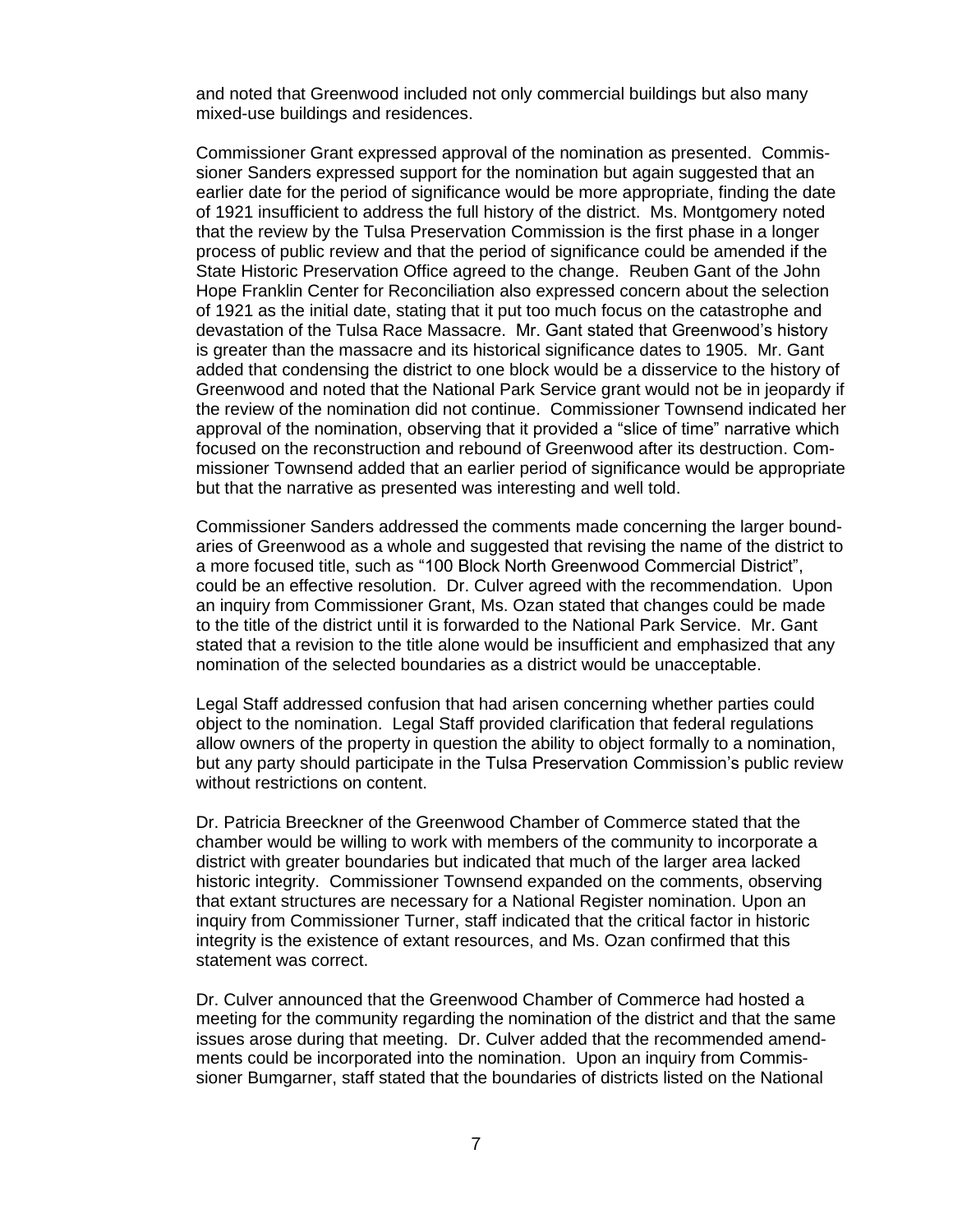and noted that Greenwood included not only commercial buildings but also many mixed-use buildings and residences.

Commissioner Grant expressed approval of the nomination as presented. Commissioner Sanders expressed support for the nomination but again suggested that an earlier date for the period of significance would be more appropriate, finding the date of 1921 insufficient to address the full history of the district. Ms. Montgomery noted that the review by the Tulsa Preservation Commission is the first phase in a longer process of public review and that the period of significance could be amended if the State Historic Preservation Office agreed to the change. Reuben Gant of the John Hope Franklin Center for Reconciliation also expressed concern about the selection of 1921 as the initial date, stating that it put too much focus on the catastrophe and devastation of the Tulsa Race Massacre. Mr. Gant stated that Greenwood's history is greater than the massacre and its historical significance dates to 1905. Mr. Gant added that condensing the district to one block would be a disservice to the history of Greenwood and noted that the National Park Service grant would not be in jeopardy if the review of the nomination did not continue. Commissioner Townsend indicated her approval of the nomination, observing that it provided a "slice of time" narrative which focused on the reconstruction and rebound of Greenwood after its destruction. Commissioner Townsend added that an earlier period of significance would be appropriate but that the narrative as presented was interesting and well told.

Commissioner Sanders addressed the comments made concerning the larger boundaries of Greenwood as a whole and suggested that revising the name of the district to a more focused title, such as "100 Block North Greenwood Commercial District", could be an effective resolution. Dr. Culver agreed with the recommendation. Upon an inquiry from Commissioner Grant, Ms. Ozan stated that changes could be made to the title of the district until it is forwarded to the National Park Service. Mr. Gant stated that a revision to the title alone would be insufficient and emphasized that any nomination of the selected boundaries as a district would be unacceptable.

Legal Staff addressed confusion that had arisen concerning whether parties could object to the nomination. Legal Staff provided clarification that federal regulations allow owners of the property in question the ability to object formally to a nomination, but any party should participate in the Tulsa Preservation Commission's public review without restrictions on content.

Dr. Patricia Breeckner of the Greenwood Chamber of Commerce stated that the chamber would be willing to work with members of the community to incorporate a district with greater boundaries but indicated that much of the larger area lacked historic integrity. Commissioner Townsend expanded on the comments, observing that extant structures are necessary for a National Register nomination. Upon an inquiry from Commissioner Turner, staff indicated that the critical factor in historic integrity is the existence of extant resources, and Ms. Ozan confirmed that this statement was correct.

Dr. Culver announced that the Greenwood Chamber of Commerce had hosted a meeting for the community regarding the nomination of the district and that the same issues arose during that meeting. Dr. Culver added that the recommended amendments could be incorporated into the nomination. Upon an inquiry from Commissioner Bumgarner, staff stated that the boundaries of districts listed on the National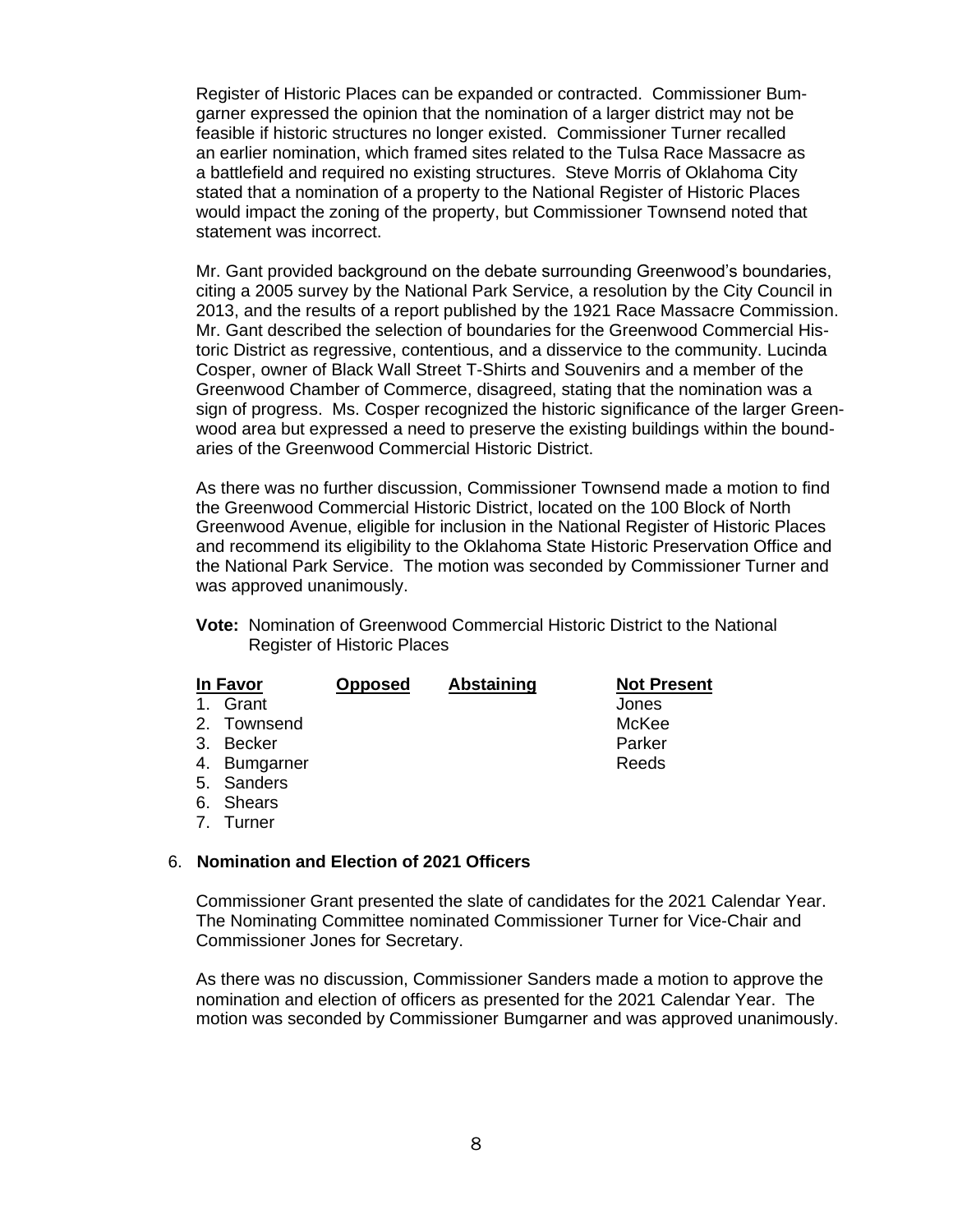Register of Historic Places can be expanded or contracted. Commissioner Bumgarner expressed the opinion that the nomination of a larger district may not be feasible if historic structures no longer existed. Commissioner Turner recalled an earlier nomination, which framed sites related to the Tulsa Race Massacre as a battlefield and required no existing structures. Steve Morris of Oklahoma City stated that a nomination of a property to the National Register of Historic Places would impact the zoning of the property, but Commissioner Townsend noted that statement was incorrect.

Mr. Gant provided background on the debate surrounding Greenwood's boundaries, citing a 2005 survey by the National Park Service, a resolution by the City Council in 2013, and the results of a report published by the 1921 Race Massacre Commission. Mr. Gant described the selection of boundaries for the Greenwood Commercial Historic District as regressive, contentious, and a disservice to the community. Lucinda Cosper, owner of Black Wall Street T-Shirts and Souvenirs and a member of the Greenwood Chamber of Commerce, disagreed, stating that the nomination was a sign of progress. Ms. Cosper recognized the historic significance of the larger Greenwood area but expressed a need to preserve the existing buildings within the boundaries of the Greenwood Commercial Historic District.

As there was no further discussion, Commissioner Townsend made a motion to find the Greenwood Commercial Historic District, located on the 100 Block of North Greenwood Avenue, eligible for inclusion in the National Register of Historic Places and recommend its eligibility to the Oklahoma State Historic Preservation Office and the National Park Service. The motion was seconded by Commissioner Turner and was approved unanimously.

**Vote:** Nomination of Greenwood Commercial Historic District to the National Register of Historic Places

| In Favor    |               | <b>Opposed</b> | <b>Abstaining</b> | <b>Not Present</b> |
|-------------|---------------|----------------|-------------------|--------------------|
| $\mathbf 1$ | Grant         |                |                   | Jones              |
|             | 2. Townsend   |                |                   | McKee              |
|             | 3. Becker     |                |                   | Parker             |
|             | 4. Bumgarner  |                |                   | Reeds              |
|             | 5. Sanders    |                |                   |                    |
| 6.          | <b>Shears</b> |                |                   |                    |

7. Turner

#### 6. **Nomination and Election of 2021 Officers**

Commissioner Grant presented the slate of candidates for the 2021 Calendar Year. The Nominating Committee nominated Commissioner Turner for Vice-Chair and Commissioner Jones for Secretary.

As there was no discussion, Commissioner Sanders made a motion to approve the nomination and election of officers as presented for the 2021 Calendar Year. The motion was seconded by Commissioner Bumgarner and was approved unanimously.